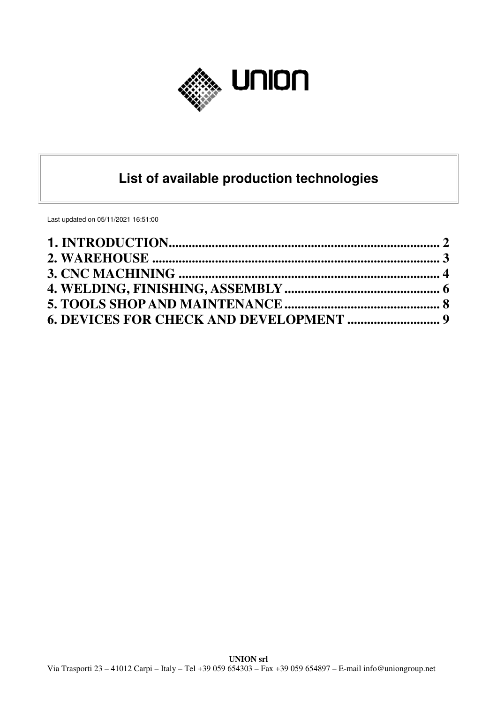

# **List of available production technologies**

Last updated on 05/11/2021 16:51:00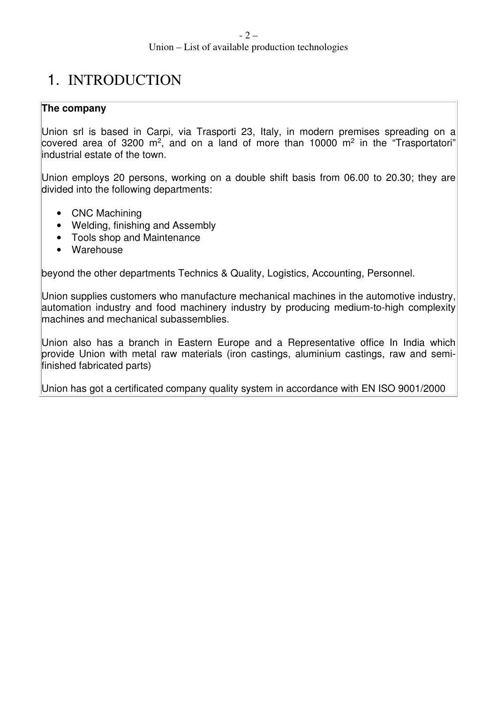# 1. INTRODUCTION

## **The company**

Union srl is based in Carpi, via Trasporti 23, Italy, in modern premises spreading on a covered area of 3200 m<sup>2</sup>, and on a land of more than 10000 m<sup>2</sup> in the "Trasportatori" industrial estate of the town.

Union employs 20 persons, working on a double shift basis from 06.00 to 20.30; they are divided into the following departments:

- CNC Machining
- Welding, finishing and Assembly
- Tools shop and Maintenance
- Warehouse

beyond the other departments Technics & Quality, Logistics, Accounting, Personnel.

Union supplies customers who manufacture mechanical machines in the automotive industry, automation industry and food machinery industry by producing medium-to-high complexity machines and mechanical subassemblies.

Union also has a branch in Eastern Europe and a Representative office In India which provide Union with metal raw materials (iron castings, aluminium castings, raw and semifinished fabricated parts)

Union has got a certificated company quality system in accordance with EN ISO 9001/2000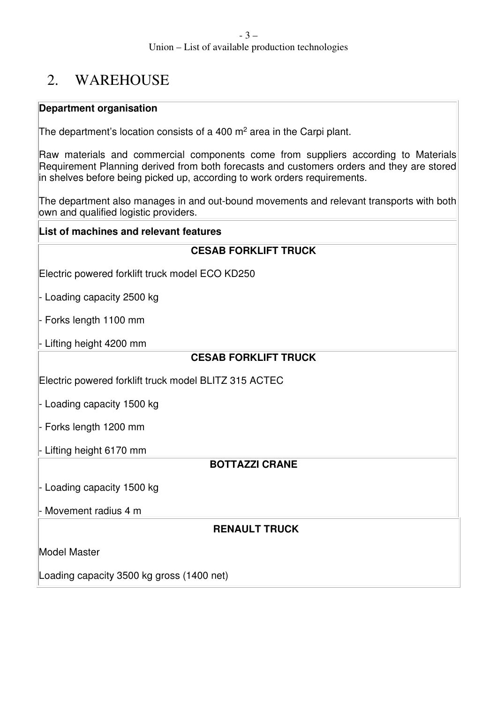# 2. WAREHOUSE

## **Department organisation**

The department's location consists of a 400  $\mathrm{m}^2$  area in the Carpi plant.

Raw materials and commercial components come from suppliers according to Materials Requirement Planning derived from both forecasts and customers orders and they are stored in shelves before being picked up, according to work orders requirements.

The department also manages in and out-bound movements and relevant transports with both own and qualified logistic providers.

## **List of machines and relevant features**

Electric powered forklift truck model ECO KD250

Loading capacity 2500 kg

Forks length 1100 mm

- Lifting height 4200 mm

## **CESAB FORKLIFT TRUCK**

Electric powered forklift truck model BLITZ 315 ACTEC

- Loading capacity 1500 kg

- Forks length 1200 mm

- Lifting height 6170 mm

# **BOTTAZZI CRANE**

- Loading capacity 1500 kg

Movement radius 4 m

## **RENAULT TRUCK**

Model Master

Loading capacity 3500 kg gross (1400 net)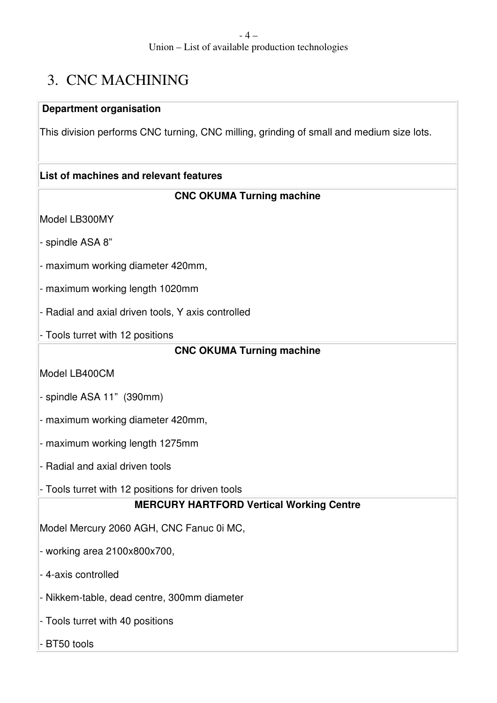# 3. CNC MACHINING

## **Department organisation**

This division performs CNC turning, CNC milling, grinding of small and medium size lots.

## **List of machines and relevant features**

# **CNC OKUMA Turning machine**

Model LB300MY

- spindle ASA 8"

- maximum working diameter 420mm,

- maximum working length 1020mm

- Radial and axial driven tools, Y axis controlled

- Tools turret with 12 positions

### **CNC OKUMA Turning machine**

Model LB400CM

- spindle ASA 11" (390mm)

- maximum working diameter 420mm,

- maximum working length 1275mm

- Radial and axial driven tools

- Tools turret with 12 positions for driven tools

## **MERCURY HARTFORD Vertical Working Centre**

Model Mercury 2060 AGH, CNC Fanuc 0i MC,

- working area 2100x800x700,

- 4-axis controlled

- Nikkem-table, dead centre, 300mm diameter

- Tools turret with 40 positions

BT50 tools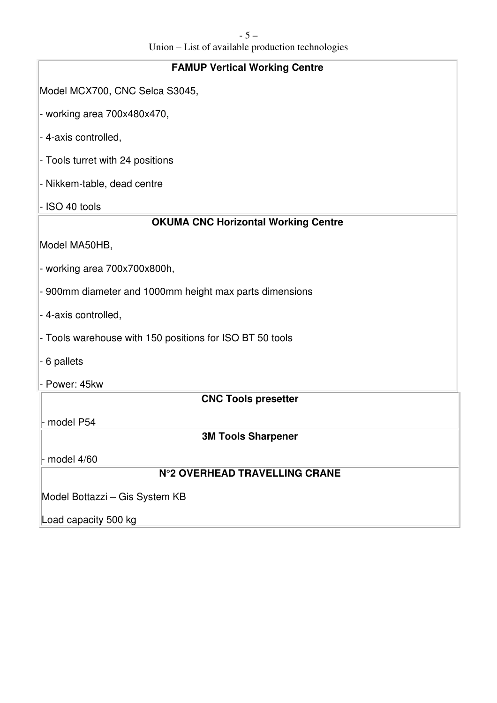| <b>FAMUP Vertical Working Centre</b>                     |
|----------------------------------------------------------|
| Model MCX700, CNC Selca S3045,                           |
| - working area 700x480x470,                              |
| - 4-axis controlled,                                     |
| - Tools turret with 24 positions                         |
| - Nikkem-table, dead centre                              |
| - ISO 40 tools                                           |
| <b>OKUMA CNC Horizontal Working Centre</b>               |
| Model MA50HB,                                            |
| - working area 700x700x800h,                             |
| - 900mm diameter and 1000mm height max parts dimensions  |
| - 4-axis controlled,                                     |
| - Tools warehouse with 150 positions for ISO BT 50 tools |
| - 6 pallets                                              |
| - Power: 45kw                                            |
| <b>CNC Tools presetter</b>                               |
| - model P54                                              |
| <b>3M Tools Sharpener</b>                                |
| model 4/60                                               |
| <b>N°2 OVERHEAD TRAVELLING CRANE</b>                     |
| Model Bottazzi - Gis System KB                           |
| Load capacity 500 kg                                     |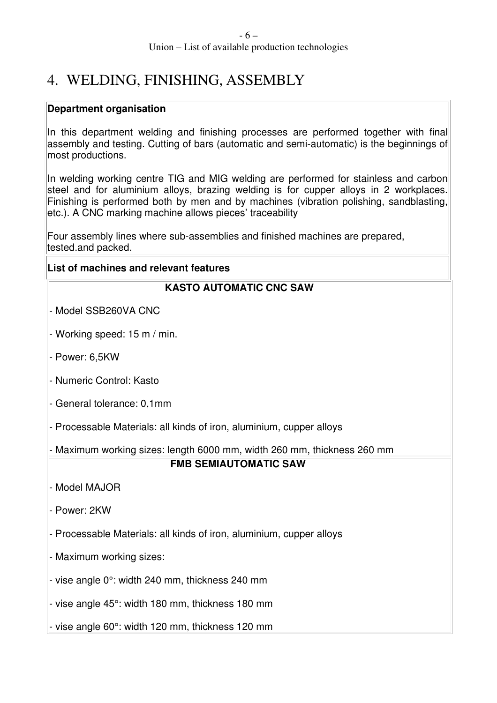# 4. WELDING, FINISHING, ASSEMBLY

### **Department organisation**

In this department welding and finishing processes are performed together with final assembly and testing. Cutting of bars (automatic and semi-automatic) is the beginnings of most productions.

In welding working centre TIG and MIG welding are performed for stainless and carbon steel and for aluminium alloys, brazing welding is for cupper alloys in 2 workplaces. Finishing is performed both by men and by machines (vibration polishing, sandblasting, etc.). A CNC marking machine allows pieces' traceability

Four assembly lines where sub-assemblies and finished machines are prepared, tested.and packed.

### **List of machines and relevant features**

## **KASTO AUTOMATIC CNC SAW**

Model SSB260VA CNC

Working speed: 15 m / min.

Power: 6,5KW

- Numeric Control: Kasto

General tolerance: 0,1mm

Processable Materials: all kinds of iron, aluminium, cupper alloys

Maximum working sizes: length 6000 mm, width 260 mm, thickness 260 mm

## **FMB SEMIAUTOMATIC SAW**

Model MAJOR

Power: 2KW

Processable Materials: all kinds of iron, aluminium, cupper alloys

Maximum working sizes:

vise angle  $0^\circ$ : width 240 mm, thickness 240 mm

vise angle 45°: width 180 mm, thickness 180 mm

- vise angle 60°: width 120 mm, thickness 120 mm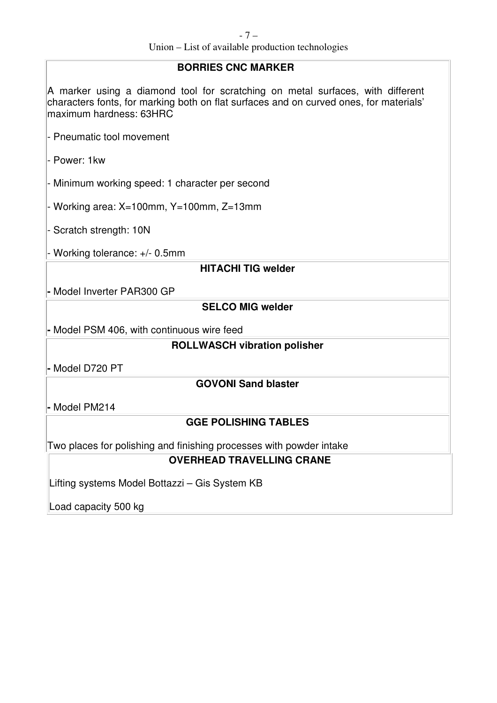#### Union – List of available production technologies

#### **BORRIES CNC MARKER**

A marker using a diamond tool for scratching on metal surfaces, with different characters fonts, for marking both on flat surfaces and on curved ones, for materials' maximum hardness: 63HRC

- Pneumatic tool movement

- Power: 1kw

- Minimum working speed: 1 character per second

- Working area: X=100mm, Y=100mm, Z=13mm

- Scratch strength: 10N

- Working tolerance: +/- 0.5mm

## **HITACHI TIG welder**

**-** Model Inverter PAR300 GP

## **SELCO MIG welder**

**-** Model PSM 406, with continuous wire feed

#### **ROLLWASCH vibration polisher**

**-** Model D720 PT

#### **GOVONI Sand blaster**

**-** Model PM214

#### **GGE POLISHING TABLES**

Two places for polishing and finishing processes with powder intake

#### **OVERHEAD TRAVELLING CRANE**

Lifting systems Model Bottazzi – Gis System KB

Load capacity 500 kg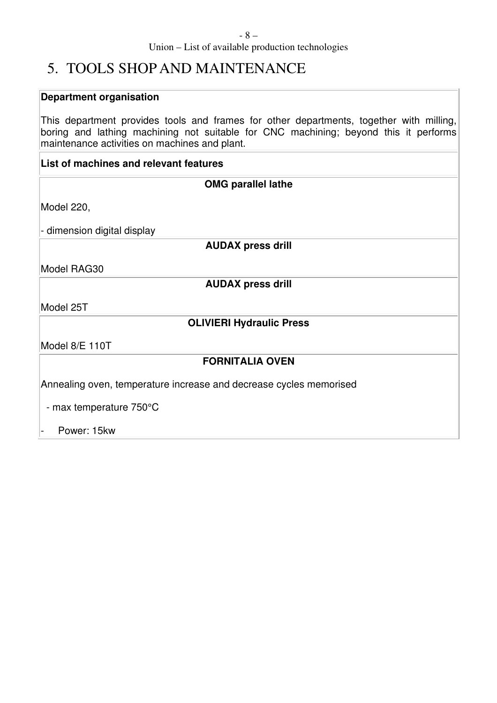#### - 8 – Union – List of available production technologies

# 5. TOOLS SHOP AND MAINTENANCE

# **Department organisation**

This department provides tools and frames for other departments, together with milling, boring and lathing machining not suitable for CNC machining; beyond this it performs maintenance activities on machines and plant.

# **List of machines and relevant features**

| <b>OMG parallel lathe</b>                                          |
|--------------------------------------------------------------------|
| Model 220,                                                         |
| dimension digital display<br>-                                     |
| <b>AUDAX press drill</b>                                           |
| Model RAG30                                                        |
| <b>AUDAX press drill</b>                                           |
| Model 25T                                                          |
| <b>OLIVIERI Hydraulic Press</b>                                    |
| Model 8/E 110T                                                     |
| <b>FORNITALIA OVEN</b>                                             |
| Annealing oven, temperature increase and decrease cycles memorised |
| - max temperature 750°C                                            |
| Power: 15kw                                                        |